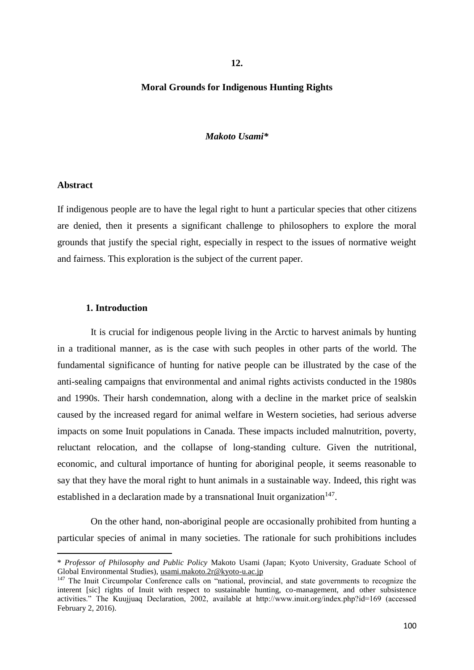**12.**

#### **Moral Grounds for Indigenous Hunting Rights**

#### *Makoto Usami\**

#### **Abstract**

1

If indigenous people are to have the legal right to hunt a particular species that other citizens are denied, then it presents a significant challenge to philosophers to explore the moral grounds that justify the special right, especially in respect to the issues of normative weight and fairness. This exploration is the subject of the current paper.

#### **1. Introduction**

It is crucial for indigenous people living in the Arctic to harvest animals by hunting in a traditional manner, as is the case with such peoples in other parts of the world. The fundamental significance of hunting for native people can be illustrated by the case of the anti-sealing campaigns that environmental and animal rights activists conducted in the 1980s and 1990s. Their harsh condemnation, along with a decline in the market price of sealskin caused by the increased regard for animal welfare in Western societies, had serious adverse impacts on some Inuit populations in Canada. These impacts included malnutrition, poverty, reluctant relocation, and the collapse of long-standing culture. Given the nutritional, economic, and cultural importance of hunting for aboriginal people, it seems reasonable to say that they have the moral right to hunt animals in a sustainable way. Indeed, this right was established in a declaration made by a transnational Inuit organization $147$ .

On the other hand, non-aboriginal people are occasionally prohibited from hunting a particular species of animal in many societies. The rationale for such prohibitions includes

<sup>\*</sup> *Professor of Philosophy and Public Policy* Makoto Usami (Japan; Kyoto University, Graduate School of Global Environmental Studies), usami.makoto.2r@kyoto-u.ac.jp

<sup>&</sup>lt;sup>147</sup> The Inuit Circumpolar Conference calls on "national, provincial, and state governments to recognize the interent [sic] rights of Inuit with respect to sustainable hunting, co-management, and other subsistence activities." The Kuujjuaq Declaration, 2002, available at http://www.inuit.org/index.php?id=169 (accessed February 2, 2016).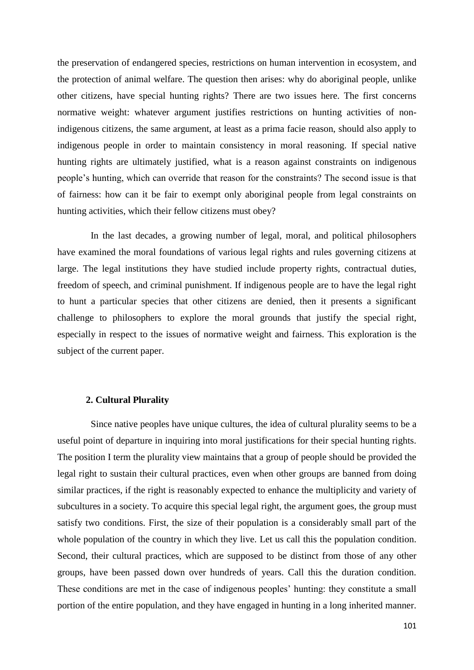the preservation of endangered species, restrictions on human intervention in ecosystem, and the protection of animal welfare. The question then arises: why do aboriginal people, unlike other citizens, have special hunting rights? There are two issues here. The first concerns normative weight: whatever argument justifies restrictions on hunting activities of nonindigenous citizens, the same argument, at least as a prima facie reason, should also apply to indigenous people in order to maintain consistency in moral reasoning. If special native hunting rights are ultimately justified, what is a reason against constraints on indigenous people's hunting, which can override that reason for the constraints? The second issue is that of fairness: how can it be fair to exempt only aboriginal people from legal constraints on hunting activities, which their fellow citizens must obey?

In the last decades, a growing number of legal, moral, and political philosophers have examined the moral foundations of various legal rights and rules governing citizens at large. The legal institutions they have studied include property rights, contractual duties, freedom of speech, and criminal punishment. If indigenous people are to have the legal right to hunt a particular species that other citizens are denied, then it presents a significant challenge to philosophers to explore the moral grounds that justify the special right, especially in respect to the issues of normative weight and fairness. This exploration is the subject of the current paper.

## **2. Cultural Plurality**

Since native peoples have unique cultures, the idea of cultural plurality seems to be a useful point of departure in inquiring into moral justifications for their special hunting rights. The position I term the plurality view maintains that a group of people should be provided the legal right to sustain their cultural practices, even when other groups are banned from doing similar practices, if the right is reasonably expected to enhance the multiplicity and variety of subcultures in a society. To acquire this special legal right, the argument goes, the group must satisfy two conditions. First, the size of their population is a considerably small part of the whole population of the country in which they live. Let us call this the population condition. Second, their cultural practices, which are supposed to be distinct from those of any other groups, have been passed down over hundreds of years. Call this the duration condition. These conditions are met in the case of indigenous peoples' hunting: they constitute a small portion of the entire population, and they have engaged in hunting in a long inherited manner.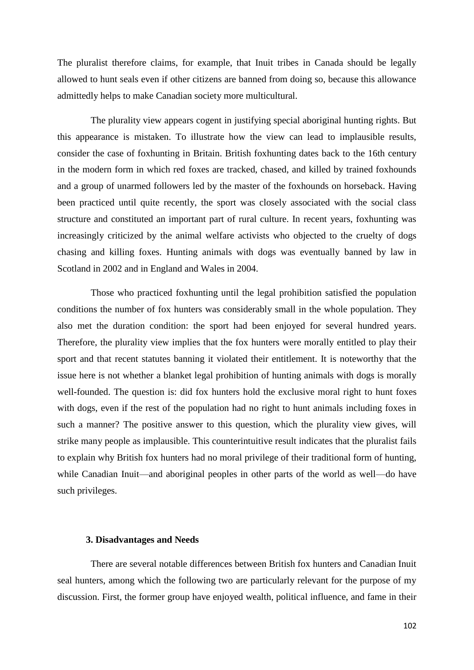The pluralist therefore claims, for example, that Inuit tribes in Canada should be legally allowed to hunt seals even if other citizens are banned from doing so, because this allowance admittedly helps to make Canadian society more multicultural.

The plurality view appears cogent in justifying special aboriginal hunting rights. But this appearance is mistaken. To illustrate how the view can lead to implausible results, consider the case of foxhunting in Britain. British foxhunting dates back to the 16th century in the modern form in which red foxes are tracked, chased, and killed by trained foxhounds and a group of unarmed followers led by the master of the foxhounds on horseback. Having been practiced until quite recently, the sport was closely associated with the social class structure and constituted an important part of rural culture. In recent years, foxhunting was increasingly criticized by the animal welfare activists who objected to the cruelty of dogs chasing and killing foxes. Hunting animals with dogs was eventually banned by law in Scotland in 2002 and in England and Wales in 2004.

Those who practiced foxhunting until the legal prohibition satisfied the population conditions the number of fox hunters was considerably small in the whole population. They also met the duration condition: the sport had been enjoyed for several hundred years. Therefore, the plurality view implies that the fox hunters were morally entitled to play their sport and that recent statutes banning it violated their entitlement. It is noteworthy that the issue here is not whether a blanket legal prohibition of hunting animals with dogs is morally well-founded. The question is: did fox hunters hold the exclusive moral right to hunt foxes with dogs, even if the rest of the population had no right to hunt animals including foxes in such a manner? The positive answer to this question, which the plurality view gives, will strike many people as implausible. This counterintuitive result indicates that the pluralist fails to explain why British fox hunters had no moral privilege of their traditional form of hunting, while Canadian Inuit—and aboriginal peoples in other parts of the world as well—do have such privileges.

#### **3. Disadvantages and Needs**

There are several notable differences between British fox hunters and Canadian Inuit seal hunters, among which the following two are particularly relevant for the purpose of my discussion. First, the former group have enjoyed wealth, political influence, and fame in their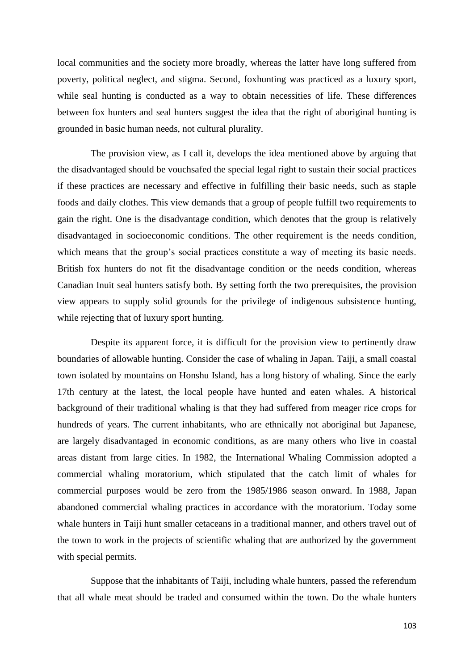local communities and the society more broadly, whereas the latter have long suffered from poverty, political neglect, and stigma. Second, foxhunting was practiced as a luxury sport, while seal hunting is conducted as a way to obtain necessities of life. These differences between fox hunters and seal hunters suggest the idea that the right of aboriginal hunting is grounded in basic human needs, not cultural plurality.

The provision view, as I call it, develops the idea mentioned above by arguing that the disadvantaged should be vouchsafed the special legal right to sustain their social practices if these practices are necessary and effective in fulfilling their basic needs, such as staple foods and daily clothes. This view demands that a group of people fulfill two requirements to gain the right. One is the disadvantage condition, which denotes that the group is relatively disadvantaged in socioeconomic conditions. The other requirement is the needs condition, which means that the group's social practices constitute a way of meeting its basic needs. British fox hunters do not fit the disadvantage condition or the needs condition, whereas Canadian Inuit seal hunters satisfy both. By setting forth the two prerequisites, the provision view appears to supply solid grounds for the privilege of indigenous subsistence hunting, while rejecting that of luxury sport hunting.

Despite its apparent force, it is difficult for the provision view to pertinently draw boundaries of allowable hunting. Consider the case of whaling in Japan. Taiji, a small coastal town isolated by mountains on Honshu Island, has a long history of whaling. Since the early 17th century at the latest, the local people have hunted and eaten whales. A historical background of their traditional whaling is that they had suffered from meager rice crops for hundreds of years. The current inhabitants, who are ethnically not aboriginal but Japanese, are largely disadvantaged in economic conditions, as are many others who live in coastal areas distant from large cities. In 1982, the International Whaling Commission adopted a commercial whaling moratorium, which stipulated that the catch limit of whales for commercial purposes would be zero from the 1985/1986 season onward. In 1988, Japan abandoned commercial whaling practices in accordance with the moratorium. Today some whale hunters in Taiji hunt smaller cetaceans in a traditional manner, and others travel out of the town to work in the projects of scientific whaling that are authorized by the government with special permits.

Suppose that the inhabitants of Taiji, including whale hunters, passed the referendum that all whale meat should be traded and consumed within the town. Do the whale hunters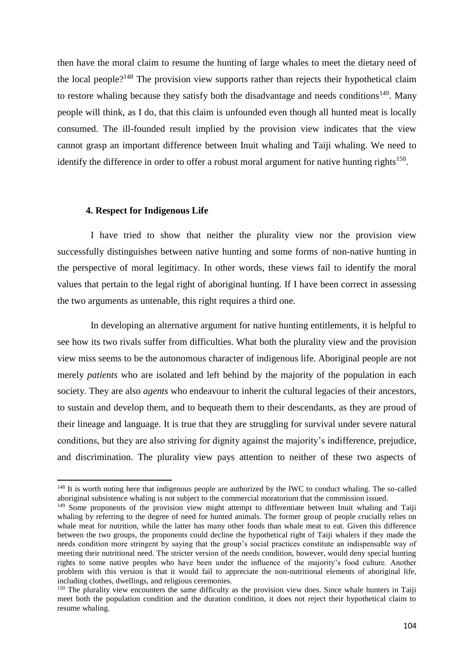then have the moral claim to resume the hunting of large whales to meet the dietary need of the local people?<sup>148</sup> The provision view supports rather than rejects their hypothetical claim to restore whaling because they satisfy both the disadvantage and needs conditions<sup>149</sup>. Many people will think, as I do, that this claim is unfounded even though all hunted meat is locally consumed. The ill-founded result implied by the provision view indicates that the view cannot grasp an important difference between Inuit whaling and Taiji whaling. We need to identify the difference in order to offer a robust moral argument for native hunting rights<sup>150</sup>.

#### **4. Respect for Indigenous Life**

**.** 

I have tried to show that neither the plurality view nor the provision view successfully distinguishes between native hunting and some forms of non-native hunting in the perspective of moral legitimacy. In other words, these views fail to identify the moral values that pertain to the legal right of aboriginal hunting. If I have been correct in assessing the two arguments as untenable, this right requires a third one.

In developing an alternative argument for native hunting entitlements, it is helpful to see how its two rivals suffer from difficulties. What both the plurality view and the provision view miss seems to be the autonomous character of indigenous life. Aboriginal people are not merely *patients* who are isolated and left behind by the majority of the population in each society. They are also *agents* who endeavour to inherit the cultural legacies of their ancestors, to sustain and develop them, and to bequeath them to their descendants, as they are proud of their lineage and language. It is true that they are struggling for survival under severe natural conditions, but they are also striving for dignity against the majority's indifference, prejudice, and discrimination. The plurality view pays attention to neither of these two aspects of

<sup>&</sup>lt;sup>148</sup> It is worth noting here that indigenous people are authorized by the IWC to conduct whaling. The so-called aboriginal subsistence whaling is not subject to the commercial moratorium that the commission issued.

<sup>&</sup>lt;sup>149</sup> Some proponents of the provision view might attempt to differentiate between Inuit whaling and Taiji whaling by referring to the degree of need for hunted animals. The former group of people crucially relies on whale meat for nutrition, while the latter has many other foods than whale meat to eat. Given this difference between the two groups, the proponents could decline the hypothetical right of Taiji whalers if they made the needs condition more stringent by saying that the group's social practices constitute an indispensable way of meeting their nutritional need. The stricter version of the needs condition, however, would deny special hunting rights to some native peoples who have been under the influence of the majority's food culture. Another problem with this version is that it would fail to appreciate the non-nutritional elements of aboriginal life, including clothes, dwellings, and religious ceremonies.

<sup>&</sup>lt;sup>150</sup> The plurality view encounters the same difficulty as the provision view does. Since whale hunters in Taiji meet both the population condition and the duration condition, it does not reject their hypothetical claim to resume whaling.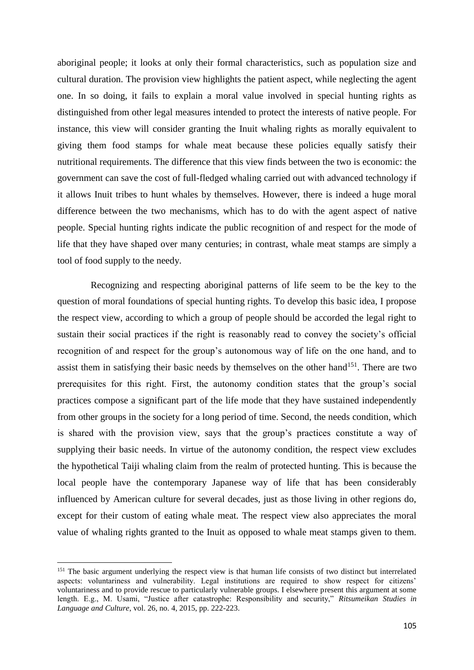aboriginal people; it looks at only their formal characteristics, such as population size and cultural duration. The provision view highlights the patient aspect, while neglecting the agent one. In so doing, it fails to explain a moral value involved in special hunting rights as distinguished from other legal measures intended to protect the interests of native people. For instance, this view will consider granting the Inuit whaling rights as morally equivalent to giving them food stamps for whale meat because these policies equally satisfy their nutritional requirements. The difference that this view finds between the two is economic: the government can save the cost of full-fledged whaling carried out with advanced technology if it allows Inuit tribes to hunt whales by themselves. However, there is indeed a huge moral difference between the two mechanisms, which has to do with the agent aspect of native people. Special hunting rights indicate the public recognition of and respect for the mode of life that they have shaped over many centuries; in contrast, whale meat stamps are simply a tool of food supply to the needy.

Recognizing and respecting aboriginal patterns of life seem to be the key to the question of moral foundations of special hunting rights. To develop this basic idea, I propose the respect view, according to which a group of people should be accorded the legal right to sustain their social practices if the right is reasonably read to convey the society's official recognition of and respect for the group's autonomous way of life on the one hand, and to assist them in satisfying their basic needs by themselves on the other hand<sup>151</sup>. There are two prerequisites for this right. First, the autonomy condition states that the group's social practices compose a significant part of the life mode that they have sustained independently from other groups in the society for a long period of time. Second, the needs condition, which is shared with the provision view, says that the group's practices constitute a way of supplying their basic needs. In virtue of the autonomy condition, the respect view excludes the hypothetical Taiji whaling claim from the realm of protected hunting. This is because the local people have the contemporary Japanese way of life that has been considerably influenced by American culture for several decades, just as those living in other regions do, except for their custom of eating whale meat. The respect view also appreciates the moral value of whaling rights granted to the Inuit as opposed to whale meat stamps given to them.

**.** 

<sup>&</sup>lt;sup>151</sup> The basic argument underlying the respect view is that human life consists of two distinct but interrelated aspects: voluntariness and vulnerability. Legal institutions are required to show respect for citizens' voluntariness and to provide rescue to particularly vulnerable groups. I elsewhere present this argument at some length. E.g., M. Usami, "Justice after catastrophe: Responsibility and security," *Ritsumeikan Studies in Language and Culture*, vol. 26, no. 4, 2015, pp. 222-223.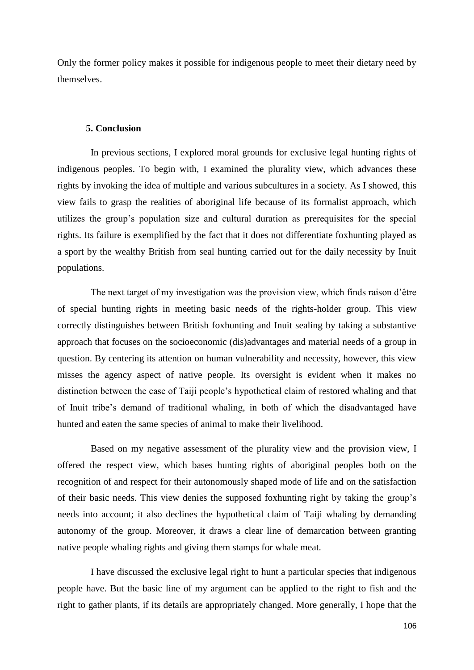Only the former policy makes it possible for indigenous people to meet their dietary need by themselves.

## **5. Conclusion**

In previous sections, I explored moral grounds for exclusive legal hunting rights of indigenous peoples. To begin with, I examined the plurality view, which advances these rights by invoking the idea of multiple and various subcultures in a society. As I showed, this view fails to grasp the realities of aboriginal life because of its formalist approach, which utilizes the group's population size and cultural duration as prerequisites for the special rights. Its failure is exemplified by the fact that it does not differentiate foxhunting played as a sport by the wealthy British from seal hunting carried out for the daily necessity by Inuit populations.

The next target of my investigation was the provision view, which finds raison d'être of special hunting rights in meeting basic needs of the rights-holder group. This view correctly distinguishes between British foxhunting and Inuit sealing by taking a substantive approach that focuses on the socioeconomic (dis)advantages and material needs of a group in question. By centering its attention on human vulnerability and necessity, however, this view misses the agency aspect of native people. Its oversight is evident when it makes no distinction between the case of Taiji people's hypothetical claim of restored whaling and that of Inuit tribe's demand of traditional whaling, in both of which the disadvantaged have hunted and eaten the same species of animal to make their livelihood.

Based on my negative assessment of the plurality view and the provision view, I offered the respect view, which bases hunting rights of aboriginal peoples both on the recognition of and respect for their autonomously shaped mode of life and on the satisfaction of their basic needs. This view denies the supposed foxhunting right by taking the group's needs into account; it also declines the hypothetical claim of Taiji whaling by demanding autonomy of the group. Moreover, it draws a clear line of demarcation between granting native people whaling rights and giving them stamps for whale meat.

I have discussed the exclusive legal right to hunt a particular species that indigenous people have. But the basic line of my argument can be applied to the right to fish and the right to gather plants, if its details are appropriately changed. More generally, I hope that the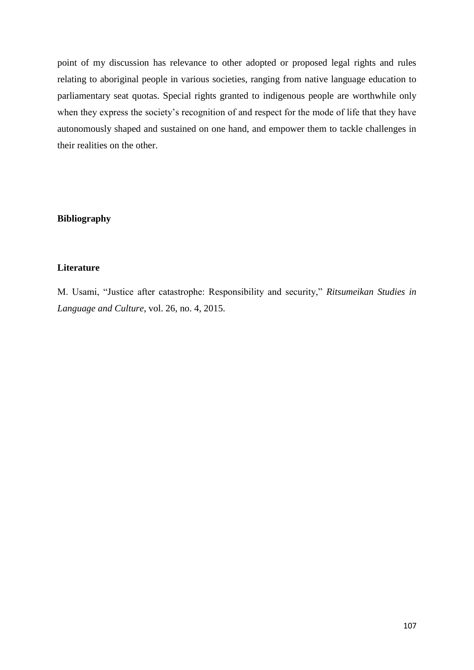point of my discussion has relevance to other adopted or proposed legal rights and rules relating to aboriginal people in various societies, ranging from native language education to parliamentary seat quotas. Special rights granted to indigenous people are worthwhile only when they express the society's recognition of and respect for the mode of life that they have autonomously shaped and sustained on one hand, and empower them to tackle challenges in their realities on the other.

# **Bibliography**

## **Literature**

M. Usami, "Justice after catastrophe: Responsibility and security," *Ritsumeikan Studies in Language and Culture*, vol. 26, no. 4, 2015.